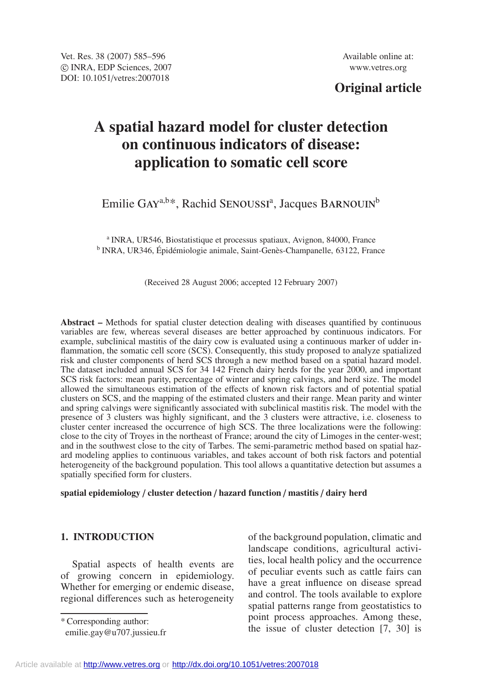## **Original article**

# **A spatial hazard model for cluster detection on continuous indicators of disease: application to somatic cell score**

Emilie GAY<sup>a,b\*</sup>, Rachid SENOUSSI<sup>a</sup>, Jacques BARNOUIN<sup>b</sup>

<sup>a</sup> INRA, UR546, Biostatistique et processus spatiaux, Avignon, 84000, France <sup>b</sup> INRA, UR346, Épidémiologie animale, Saint-Genès-Champanelle, 63122, France

(Received 28 August 2006; accepted 12 February 2007)

**Abstract –** Methods for spatial cluster detection dealing with diseases quantified by continuous variables are few, whereas several diseases are better approached by continuous indicators. For example, subclinical mastitis of the dairy cow is evaluated using a continuous marker of udder inflammation, the somatic cell score (SCS). Consequently, this study proposed to analyze spatialized risk and cluster components of herd SCS through a new method based on a spatial hazard model. The dataset included annual SCS for 34 142 French dairy herds for the year 2000, and important SCS risk factors: mean parity, percentage of winter and spring calvings, and herd size. The model allowed the simultaneous estimation of the effects of known risk factors and of potential spatial clusters on SCS, and the mapping of the estimated clusters and their range. Mean parity and winter and spring calvings were significantly associated with subclinical mastitis risk. The model with the presence of 3 clusters was highly significant, and the 3 clusters were attractive, i.e. closeness to cluster center increased the occurrence of high SCS. The three localizations were the following: close to the city of Troyes in the northeast of France; around the city of Limoges in the center-west; and in the southwest close to the city of Tarbes. The semi-parametric method based on spatial hazard modeling applies to continuous variables, and takes account of both risk factors and potential heterogeneity of the background population. This tool allows a quantitative detection but assumes a spatially specified form for clusters.

## **spatial epidemiology** / **cluster detection** / **hazard function** / **mastitis** / **dairy herd**

## **1. INTRODUCTION**

Spatial aspects of health events are of growing concern in epidemiology. Whether for emerging or endemic disease, regional differences such as heterogeneity

\* Corresponding author:

of the background population, climatic and landscape conditions, agricultural activities, local health policy and the occurrence of peculiar events such as cattle fairs can have a great influence on disease spread and control. The tools available to explore spatial patterns range from geostatistics to point process approaches. Among these, the issue of cluster detection [7, 30] is

emilie.gay@u707.jussieu.fr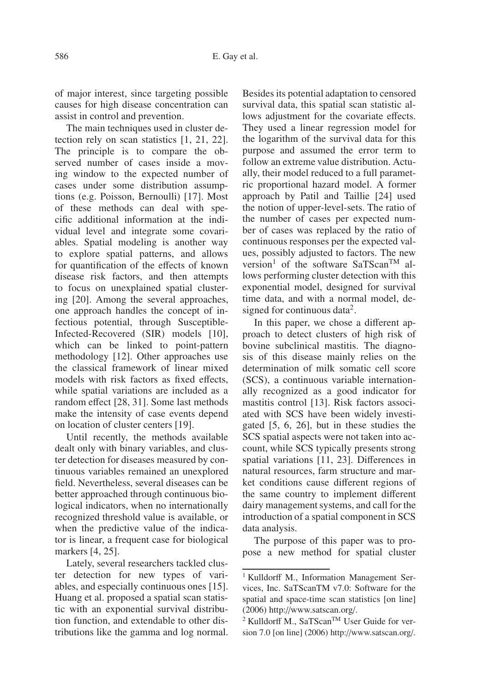of major interest, since targeting possible causes for high disease concentration can assist in control and prevention.

The main techniques used in cluster detection rely on scan statistics [1, 21, 22]. The principle is to compare the observed number of cases inside a moving window to the expected number of cases under some distribution assumptions (e.g. Poisson, Bernoulli) [17]. Most of these methods can deal with specific additional information at the individual level and integrate some covariables. Spatial modeling is another way to explore spatial patterns, and allows for quantification of the effects of known disease risk factors, and then attempts to focus on unexplained spatial clustering [20]. Among the several approaches, one approach handles the concept of infectious potential, through Susceptible-Infected-Recovered (SIR) models [10], which can be linked to point-pattern methodology [12]. Other approaches use the classical framework of linear mixed models with risk factors as fixed effects, while spatial variations are included as a random effect [28, 31]. Some last methods make the intensity of case events depend on location of cluster centers [19].

Until recently, the methods available dealt only with binary variables, and cluster detection for diseases measured by continuous variables remained an unexplored field. Nevertheless, several diseases can be better approached through continuous biological indicators, when no internationally recognized threshold value is available, or when the predictive value of the indicator is linear, a frequent case for biological markers [4, 25].

Lately, several researchers tackled cluster detection for new types of variables, and especially continuous ones [15]. Huang et al. proposed a spatial scan statistic with an exponential survival distribution function, and extendable to other distributions like the gamma and log normal. Besides its potential adaptation to censored survival data, this spatial scan statistic allows adjustment for the covariate effects. They used a linear regression model for the logarithm of the survival data for this purpose and assumed the error term to follow an extreme value distribution. Actually, their model reduced to a full parametric proportional hazard model. A former approach by Patil and Taillie [24] used the notion of upper-level-sets. The ratio of the number of cases per expected number of cases was replaced by the ratio of continuous responses per the expected values, possibly adjusted to factors. The new version<sup>1</sup> of the software SaTScan<sup>TM</sup> allows performing cluster detection with this exponential model, designed for survival time data, and with a normal model, designed for continuous data<sup>2</sup>.

In this paper, we chose a different approach to detect clusters of high risk of bovine subclinical mastitis. The diagnosis of this disease mainly relies on the determination of milk somatic cell score (SCS), a continuous variable internationally recognized as a good indicator for mastitis control [13]. Risk factors associated with SCS have been widely investigated [5, 6, 26], but in these studies the SCS spatial aspects were not taken into account, while SCS typically presents strong spatial variations [11, 23]. Differences in natural resources, farm structure and market conditions cause different regions of the same country to implement different dairy management systems, and call for the introduction of a spatial component in SCS data analysis.

The purpose of this paper was to propose a new method for spatial cluster

<sup>&</sup>lt;sup>1</sup> Kulldorff M., Information Management Services, Inc. SaTScanTM v7.0: Software for the spatial and space-time scan statistics [on line] (2006) http://www.satscan.org/.

<sup>&</sup>lt;sup>2</sup> Kulldorff M., SaTScan™ User Guide for version 7.0 [on line] (2006) http://www.satscan.org/.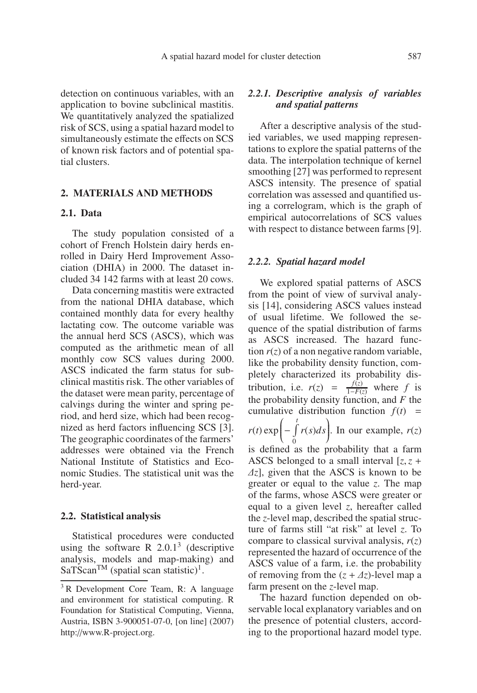detection on continuous variables, with an application to bovine subclinical mastitis. We quantitatively analyzed the spatialized risk of SCS, using a spatial hazard model to simultaneously estimate the effects on SCS of known risk factors and of potential spatial clusters.

## **2. MATERIALS AND METHODS**

## **2.1. Data**

The study population consisted of a cohort of French Holstein dairy herds enrolled in Dairy Herd Improvement Association (DHIA) in 2000. The dataset included 34 142 farms with at least 20 cows.

Data concerning mastitis were extracted from the national DHIA database, which contained monthly data for every healthy lactating cow. The outcome variable was the annual herd SCS (ASCS), which was computed as the arithmetic mean of all monthly cow SCS values during 2000. ASCS indicated the farm status for subclinical mastitis risk. The other variables of the dataset were mean parity, percentage of calvings during the winter and spring period, and herd size, which had been recognized as herd factors influencing SCS [3]. The geographic coordinates of the farmers' addresses were obtained via the French National Institute of Statistics and Economic Studies. The statistical unit was the herd-year.

#### **2.2. Statistical analysis**

Statistical procedures were conducted using the software R  $2.0.1<sup>3</sup>$  (descriptive analysis, models and map-making) and  $SaTScan^{TM}$  (spatial scan statistic)<sup>1</sup>.

## *2.2.1. Descriptive analysis of variables and spatial patterns*

After a descriptive analysis of the studied variables, we used mapping representations to explore the spatial patterns of the data. The interpolation technique of kernel smoothing [27] was performed to represent ASCS intensity. The presence of spatial correlation was assessed and quantified using a correlogram, which is the graph of empirical autocorrelations of SCS values with respect to distance between farms [9].

#### *2.2.2. Spatial hazard model*

We explored spatial patterns of ASCS from the point of view of survival analysis [14], considering ASCS values instead of usual lifetime. We followed the sequence of the spatial distribution of farms as ASCS increased. The hazard function  $r(z)$  of a non negative random variable, like the probability density function, completely characterized its probability distribution, i.e.  $r(z) = \frac{f(z)}{1-F(z)}$  where *f* is the probability density function, and *F* the cumulative distribution function  $f(t)$  =  $r(t) \exp\left(-\int\limits_0^t$ 0  $r(s)ds$ . In our example,  $r(z)$ 

is defined as the probability that a farm ASCS belonged to a small interval  $[z, z +$ Δ*z*], given that the ASCS is known to be greater or equal to the value *z*. The map of the farms, whose ASCS were greater or equal to a given level *z*, hereafter called the *z*-level map, described the spatial structure of farms still "at risk" at level *z*. To compare to classical survival analysis, *r*(*z*) represented the hazard of occurrence of the ASCS value of a farm, i.e. the probability of removing from the  $(z + \Delta z)$ -level map a farm present on the *z*-level map.

The hazard function depended on observable local explanatory variables and on the presence of potential clusters, according to the proportional hazard model type.

<sup>&</sup>lt;sup>3</sup> R Development Core Team, R: A language and environment for statistical computing. R Foundation for Statistical Computing, Vienna, Austria, ISBN 3-900051-07-0, [on line] (2007) http://www.R-project.org.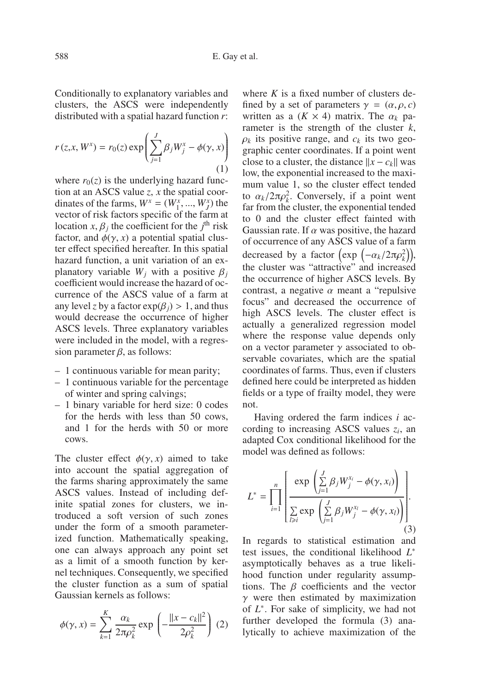Conditionally to explanatory variables and clusters, the ASCS were independently distributed with a spatial hazard function *r*:

$$
r(z, x, W^x) = r_0(z) \exp\left(\sum_{j=1}^J \beta_j W^x_j - \phi(\gamma, x)\right)
$$
  
(1)

where  $r_0(z)$  is the underlying hazard function at an ASCS value *z*, *x* the spatial coordinates of the farms,  $W^x = (W^x_1, ..., W^x_J)$  the vector of risk factors specific of the farm at location *x*,  $\beta_j$  the coefficient for the  $j^{\text{th}}$  risk factor, and  $\phi(\gamma, x)$  a potential spatial cluster effect specified hereafter. In this spatial hazard function, a unit variation of an explanatory variable  $W_i$  with a positive  $\beta_i$ coefficient would increase the hazard of occurrence of the ASCS value of a farm at any level *z* by a factor  $exp(\beta_i) > 1$ , and thus would decrease the occurrence of higher ASCS levels. Three explanatory variables were included in the model, with a regression parameter  $\beta$ , as follows:

- 1 continuous variable for mean parity;
- 1 continuous variable for the percentage of winter and spring calvings;
- 1 binary variable for herd size: 0 codes for the herds with less than 50 cows, and 1 for the herds with 50 or more cows.

The cluster effect  $\phi(\gamma, x)$  aimed to take into account the spatial aggregation of the farms sharing approximately the same ASCS values. Instead of including definite spatial zones for clusters, we introduced a soft version of such zones under the form of a smooth parameterized function. Mathematically speaking, one can always approach any point set as a limit of a smooth function by kernel techniques. Consequently, we specified the cluster function as a sum of spatial Gaussian kernels as follows:

$$
\phi(\gamma, x) = \sum_{k=1}^{K} \frac{\alpha_k}{2\pi \rho_k^2} \exp\left(-\frac{\|x - c_k\|^2}{2\rho_k^2}\right) (2)
$$

where  $K$  is a fixed number of clusters defined by a set of parameters  $\gamma = (\alpha, \rho, c)$ written as a  $(K \times 4)$  matrix. The  $\alpha_k$  parameter is the strength of the cluster *k*,  $\rho_k$  its positive range, and  $c_k$  its two geographic center coordinates. If a point went close to a cluster, the distance  $||x - c_k||$  was low, the exponential increased to the maximum value 1, so the cluster effect tended to  $\alpha_k/2\pi\rho_k^2$ . Conversely, if a point went far from the cluster, the exponential tended to 0 and the cluster effect fainted with Gaussian rate. If  $\alpha$  was positive, the hazard of occurrence of any ASCS value of a farm decreased by a factor  $\left(\exp\left(-\alpha_k/2\pi\rho_k^2\right)\right),$ the cluster was "attractive" and increased the occurrence of higher ASCS levels. By contrast, a negative  $\alpha$  meant a "repulsive" focus" and decreased the occurrence of high ASCS levels. The cluster effect is actually a generalized regression model where the response value depends only on a vector parameter  $\gamma$  associated to observable covariates, which are the spatial coordinates of farms. Thus, even if clusters defined here could be interpreted as hidden fields or a type of frailty model, they were not.

Having ordered the farm indices *i* according to increasing ASCS values *zi*, an adapted Cox conditional likelihood for the model was defined as follows:

$$
L^* = \prod_{i=1}^n \left[ \frac{\exp\left(\sum_{j=1}^J \beta_j W_j^{x_i} - \phi(\gamma, x_i)\right)}{\sum_{i \ge i} \exp\left(\sum_{j=1}^J \beta_j W_j^{x_i} - \phi(\gamma, x_i)\right)} \right].
$$
 (3)

In regards to statistical estimation and test issues, the conditional likelihood *L*<sup>∗</sup> asymptotically behaves as a true likelihood function under regularity assumptions. The  $\beta$  coefficients and the vector  $\gamma$  were then estimated by maximization of *L*<sup>∗</sup>. For sake of simplicity, we had not further developed the formula (3) analytically to achieve maximization of the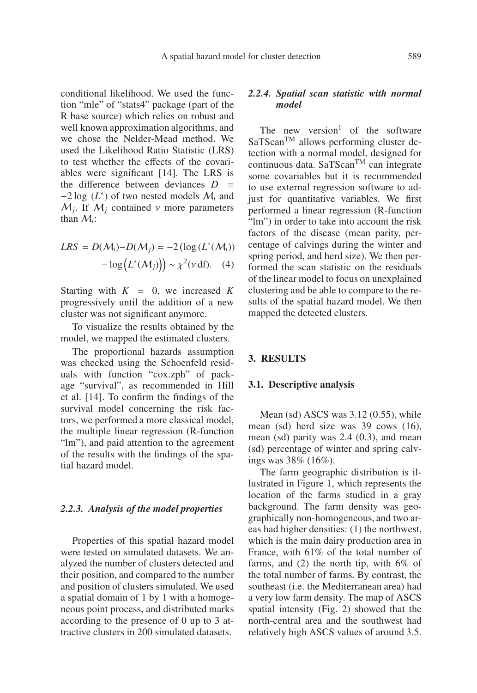conditional likelihood. We used the function "mle" of "stats4" package (part of the R base source) which relies on robust and well known approximation algorithms, and we chose the Nelder-Mead method. We used the Likelihood Ratio Statistic (LRS) to test whether the effects of the covariables were significant [14]. The LRS is the difference between deviances  $D =$ −2 log (*L*<sup>∗</sup>) of two nested models M*<sup>i</sup>* and  $M_i$ . If  $M_i$  contained  $\nu$  more parameters than M*i*:

$$
LRS = D(M_i) - D(M_j) = -2 \left( \log \left( L^*(M_i) \right) - \log \left( L^*(M_j) \right) \right) \sim \chi^2(\nu \, \text{df}). \quad (4)
$$

Starting with  $K = 0$ , we increased  $K$ progressively until the addition of a new cluster was not significant anymore.

To visualize the results obtained by the model, we mapped the estimated clusters.

The proportional hazards assumption was checked using the Schoenfeld residuals with function "cox.zph" of package "survival", as recommended in Hill et al. [14]. To confirm the findings of the survival model concerning the risk factors, we performed a more classical model, the multiple linear regression (R-function "lm"), and paid attention to the agreement of the results with the findings of the spatial hazard model.

#### *2.2.3. Analysis of the model properties*

Properties of this spatial hazard model were tested on simulated datasets. We analyzed the number of clusters detected and their position, and compared to the number and position of clusters simulated. We used a spatial domain of 1 by 1 with a homogeneous point process, and distributed marks according to the presence of 0 up to 3 attractive clusters in 200 simulated datasets.

## *2.2.4. Spatial scan statistic with normal model*

The new version<sup>1</sup> of the software  $SaTScan<sup>TM</sup>$  allows performing cluster detection with a normal model, designed for continuous data. Sa $T$ Scan<sup>TM</sup> can integrate some covariables but it is recommended to use external regression software to adjust for quantitative variables. We first performed a linear regression (R-function "lm") in order to take into account the risk factors of the disease (mean parity, percentage of calvings during the winter and spring period, and herd size). We then performed the scan statistic on the residuals of the linear model to focus on unexplained clustering and be able to compare to the results of the spatial hazard model. We then mapped the detected clusters.

#### **3. RESULTS**

#### **3.1. Descriptive analysis**

Mean (sd) ASCS was 3.12 (0.55), while mean (sd) herd size was 39 cows (16), mean (sd) parity was 2.4 (0.3), and mean (sd) percentage of winter and spring calvings was 38% (16%).

The farm geographic distribution is illustrated in Figure 1, which represents the location of the farms studied in a gray background. The farm density was geographically non-homogeneous, and two areas had higher densities: (1) the northwest, which is the main dairy production area in France, with 61% of the total number of farms, and (2) the north tip, with 6% of the total number of farms. By contrast, the southeast (i.e. the Mediterranean area) had a very low farm density. The map of ASCS spatial intensity (Fig. 2) showed that the north-central area and the southwest had relatively high ASCS values of around 3.5.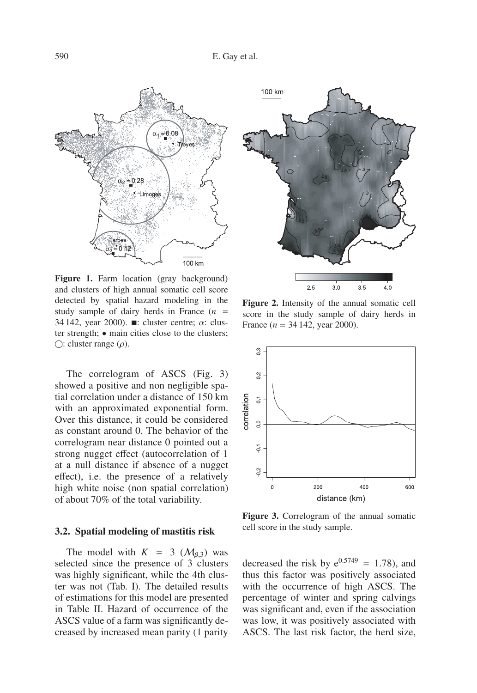

Figure 1. Farm location (gray background) and clusters of high annual somatic cell score detected by spatial hazard modeling in the study sample of dairy herds in France  $(n =$ 34 142, year 2000).  $\blacksquare$ : cluster centre;  $\alpha$ : cluster strength; • main cities close to the clusters;  $\bigcirc$ : cluster range  $(\rho)$ .

The correlogram of ASCS (Fig. 3) showed a positive and non negligible spatial correlation under a distance of 150 km with an approximated exponential form. Over this distance, it could be considered as constant around 0. The behavior of the correlogram near distance 0 pointed out a strong nugget effect (autocorrelation of 1 at a null distance if absence of a nugget effect), i.e. the presence of a relatively high white noise (non spatial correlation) of about 70% of the total variability.

#### **3.2. Spatial modeling of mastitis risk**

The model with  $K = 3$  ( $M_{\beta,3}$ ) was selected since the presence of 3 clusters was highly significant, while the 4th cluster was not (Tab. I). The detailed results of estimations for this model are presented in Table II. Hazard of occurrence of the ASCS value of a farm was significantly decreased by increased mean parity (1 parity



**Figure 2.** Intensity of the annual somatic cell score in the study sample of dairy herds in France  $(n = 34142, \text{ year } 2000)$ .



**Figure 3.** Correlogram of the annual somatic cell score in the study sample.

decreased the risk by  $e^{0.5749} = 1.78$ , and thus this factor was positively associated with the occurrence of high ASCS. The percentage of winter and spring calvings was significant and, even if the association was low, it was positively associated with ASCS. The last risk factor, the herd size,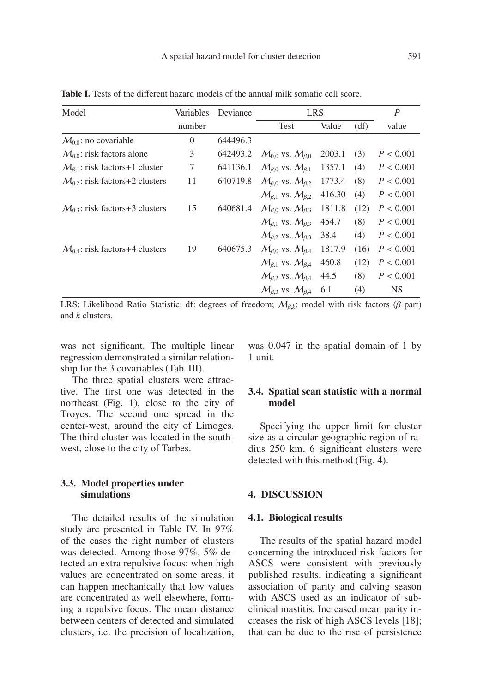| Model                                            | Variables      | Deviance | <b>LRS</b>                      |        |      | $\boldsymbol{P}$ |
|--------------------------------------------------|----------------|----------|---------------------------------|--------|------|------------------|
|                                                  | number         |          | Test                            | Value  | (df) | value            |
| $M_{0.0}$ : no covariable                        | $\overline{0}$ | 644496.3 |                                 |        |      |                  |
| $M_{\beta,0}$ : risk factors alone               | 3              | 642493.2 | $M_{0.0}$ vs. $M_{\beta.0}$     | 2003.1 | (3)  | P < 0.001        |
| $\mathcal{M}_{\beta,1}$ : risk factors+1 cluster | 7              | 641136.1 | $M_{\beta,0}$ vs. $M_{\beta,1}$ | 1357.1 | (4)  | P < 0.001        |
| $M_{\beta,2}$ : risk factors+2 clusters          | 11             | 640719.8 | $M_{\beta,0}$ vs. $M_{\beta,2}$ | 1773.4 | (8)  | P < 0.001        |
|                                                  |                |          | $M_{6.1}$ vs. $M_{6.2}$         | 416.30 | (4)  | P < 0.001        |
| $M_{\beta,3}$ : risk factors+3 clusters          | 15             | 640681.4 | $M_{\beta,0}$ vs. $M_{\beta,3}$ | 1811.8 | (12) | P < 0.001        |
|                                                  |                |          | $M_{\beta,1}$ vs. $M_{\beta,3}$ | 454.7  | (8)  | P < 0.001        |
|                                                  |                |          | $M_{\beta,2}$ vs. $M_{\beta,3}$ | 38.4   | (4)  | P < 0.001        |
| $M_{\beta,4}$ : risk factors+4 clusters          | 19             | 640675.3 | $M_{\beta,0}$ vs. $M_{\beta,4}$ | 1817.9 | (16) | P < 0.001        |
|                                                  |                |          | $M_{\beta,1}$ vs. $M_{\beta,4}$ | 460.8  | (12) | P < 0.001        |
|                                                  |                |          | $M_{\beta,2}$ vs. $M_{\beta,4}$ | 44.5   | (8)  | P < 0.001        |
|                                                  |                |          | $M_{\beta}$ vs. $M_{\beta}$ 4   | 6.1    | (4)  | <b>NS</b>        |

**Table I.** Tests of the different hazard models of the annual milk somatic cell score.

LRS: Likelihood Ratio Statistic; df: degrees of freedom;  $M_{\beta,k}$ : model with risk factors (β part) and *k* clusters.

was not significant. The multiple linear regression demonstrated a similar relationship for the 3 covariables (Tab. III).

The three spatial clusters were attractive. The first one was detected in the northeast (Fig. 1), close to the city of Troyes. The second one spread in the center-west, around the city of Limoges. The third cluster was located in the southwest, close to the city of Tarbes.

## **3.3. Model properties under simulations**

The detailed results of the simulation study are presented in Table IV. In 97% of the cases the right number of clusters was detected. Among those 97%, 5% detected an extra repulsive focus: when high values are concentrated on some areas, it can happen mechanically that low values are concentrated as well elsewhere, forming a repulsive focus. The mean distance between centers of detected and simulated clusters, i.e. the precision of localization, was 0.047 in the spatial domain of 1 by 1 unit.

## **3.4. Spatial scan statistic with a normal model**

Specifying the upper limit for cluster size as a circular geographic region of radius 250 km, 6 significant clusters were detected with this method (Fig. 4).

## **4. DISCUSSION**

#### **4.1. Biological results**

The results of the spatial hazard model concerning the introduced risk factors for ASCS were consistent with previously published results, indicating a significant association of parity and calving season with ASCS used as an indicator of subclinical mastitis. Increased mean parity increases the risk of high ASCS levels [18]; that can be due to the rise of persistence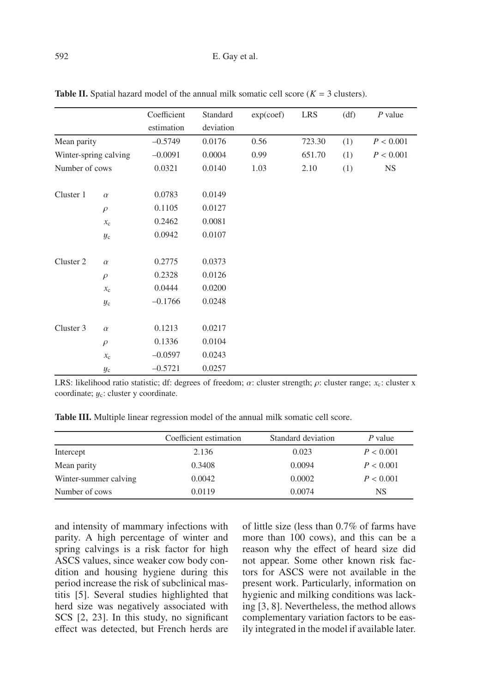|                       |             | Coefficient      | Standard  | exp(coef) | <b>LRS</b> | (df) | $P$ value |
|-----------------------|-------------|------------------|-----------|-----------|------------|------|-----------|
|                       |             | estimation       | deviation |           |            |      |           |
| Mean parity           |             | $-0.5749$        | 0.0176    | 0.56      | 723.30     | (1)  | P < 0.001 |
| Winter-spring calving |             | $-0.0091$        | 0.0004    | 0.99      | 651.70     | (1)  | P < 0.001 |
| Number of cows        |             | 0.0321           | 0.0140    | 1.03      | 2.10       | (1)  | <b>NS</b> |
| Cluster 1             | $\alpha$    | 0.0783           | 0.0149    |           |            |      |           |
|                       | $\rho$      | 0.1105           | 0.0127    |           |            |      |           |
|                       | $x_c$       | 0.2462           | 0.0081    |           |            |      |           |
|                       | $y_{\rm c}$ | 0.0942           | 0.0107    |           |            |      |           |
| Cluster 2             | $\alpha$    | 0.2775           | 0.0373    |           |            |      |           |
|                       | $\rho$      | 0.2328           | 0.0126    |           |            |      |           |
|                       | $x_c$       | 0.0444<br>0.0200 |           |           |            |      |           |
|                       | $y_c$       | $-0.1766$        | 0.0248    |           |            |      |           |
| Cluster 3             | $\alpha$    | 0.1213           | 0.0217    |           |            |      |           |
|                       | $\rho$      | 0.1336           | 0.0104    |           |            |      |           |
|                       | $x_c$       | $-0.0597$        | 0.0243    |           |            |      |           |
|                       | $y_{\rm c}$ | $-0.5721$        | 0.0257    |           |            |      |           |

**Table II.** Spatial hazard model of the annual milk somatic cell score ( $K = 3$  clusters).

LRS: likelihood ratio statistic; df: degrees of freedom; α: cluster strength; ρ: cluster range; *x*c: cluster x coordinate;  $y_c$ : cluster y coordinate.

**Table III.** Multiple linear regression model of the annual milk somatic cell score.

|                       | Coefficient estimation | Standard deviation | $P$ value |
|-----------------------|------------------------|--------------------|-----------|
| Intercept             | 2.136                  | 0.023              | P < 0.001 |
| Mean parity           | 0.3408                 | 0.0094             | P < 0.001 |
| Winter-summer calving | 0.0042                 | 0.0002             | P < 0.001 |
| Number of cows        | 0.0119                 | 0.0074             | NS        |

and intensity of mammary infections with parity. A high percentage of winter and spring calvings is a risk factor for high ASCS values, since weaker cow body condition and housing hygiene during this period increase the risk of subclinical mastitis [5]. Several studies highlighted that herd size was negatively associated with SCS [2, 23]. In this study, no significant effect was detected, but French herds are of little size (less than 0.7% of farms have more than 100 cows), and this can be a reason why the effect of heard size did not appear. Some other known risk factors for ASCS were not available in the present work. Particularly, information on hygienic and milking conditions was lacking [3, 8]. Nevertheless, the method allows complementary variation factors to be easily integrated in the model if available later.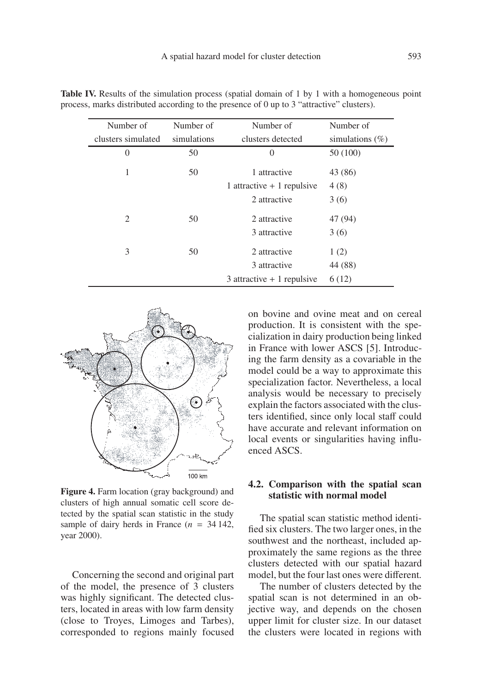| Number of          | Number of   | Number of                    | Number of           |
|--------------------|-------------|------------------------------|---------------------|
| clusters simulated | simulations | clusters detected            | simulations $(\% )$ |
| $\Omega$           | 50          | $\Omega$                     | 50 (100)            |
| 1                  | 50          | 1 attractive                 | 43 (86)             |
|                    |             | 1 attractive $+1$ repulsive  | 4(8)                |
|                    |             | 2 attractive                 | 3(6)                |
| 2                  | 50          | 2 attractive                 | 47 (94)             |
|                    |             | 3 attractive                 | 3(6)                |
| 3                  | 50          | 2 attractive                 | 1(2)                |
|                    |             | 3 attractive                 | 44 (88)             |
|                    |             | $3$ attractive + 1 repulsive | 6(12)               |

**Table IV.** Results of the simulation process (spatial domain of 1 by 1 with a homogeneous point process, marks distributed according to the presence of 0 up to 3 "attractive" clusters).



**Figure 4.** Farm location (gray background) and clusters of high annual somatic cell score detected by the spatial scan statistic in the study sample of dairy herds in France  $(n = 34142)$ , year 2000).

Concerning the second and original part of the model, the presence of 3 clusters was highly significant. The detected clusters, located in areas with low farm density (close to Troyes, Limoges and Tarbes), corresponded to regions mainly focused on bovine and ovine meat and on cereal production. It is consistent with the specialization in dairy production being linked in France with lower ASCS [5]. Introducing the farm density as a covariable in the model could be a way to approximate this specialization factor. Nevertheless, a local analysis would be necessary to precisely explain the factors associated with the clusters identified, since only local staff could have accurate and relevant information on local events or singularities having influenced ASCS.

## **4.2. Comparison with the spatial scan statistic with normal model**

The spatial scan statistic method identified six clusters. The two larger ones, in the southwest and the northeast, included approximately the same regions as the three clusters detected with our spatial hazard model, but the four last ones were different.

The number of clusters detected by the spatial scan is not determined in an objective way, and depends on the chosen upper limit for cluster size. In our dataset the clusters were located in regions with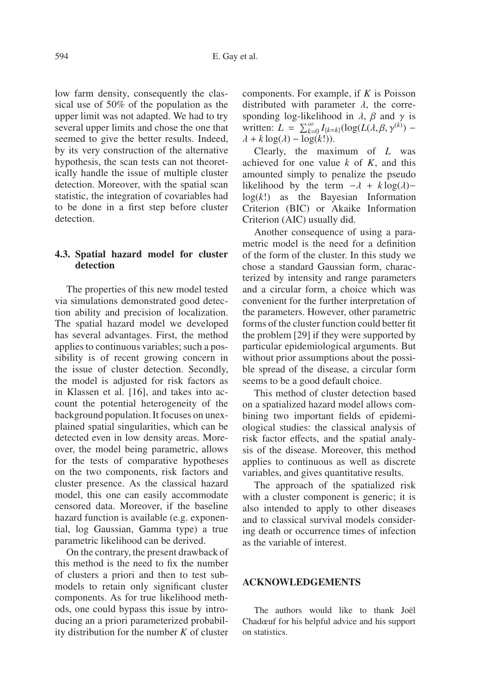low farm density, consequently the classical use of 50% of the population as the upper limit was not adapted. We had to try several upper limits and chose the one that seemed to give the better results. Indeed, by its very construction of the alternative hypothesis, the scan tests can not theoretically handle the issue of multiple cluster detection. Moreover, with the spatial scan statistic, the integration of covariables had to be done in a first step before cluster detection.

## **4.3. Spatial hazard model for cluster detection**

The properties of this new model tested via simulations demonstrated good detection ability and precision of localization. The spatial hazard model we developed has several advantages. First, the method applies to continuous variables; such a possibility is of recent growing concern in the issue of cluster detection. Secondly, the model is adjusted for risk factors as in Klassen et al. [16], and takes into account the potential heterogeneity of the background population. It focuses on unexplained spatial singularities, which can be detected even in low density areas. Moreover, the model being parametric, allows for the tests of comparative hypotheses on the two components, risk factors and cluster presence. As the classical hazard model, this one can easily accommodate censored data. Moreover, if the baseline hazard function is available (e.g. exponential, log Gaussian, Gamma type) a true parametric likelihood can be derived.

On the contrary, the present drawback of this method is the need to fix the number of clusters a priori and then to test submodels to retain only significant cluster components. As for true likelihood methods, one could bypass this issue by introducing an a priori parameterized probability distribution for the number *K* of cluster components. For example, if *K* is Poisson distributed with parameter  $\lambda$ , the corresponding log-likelihood in  $\lambda$ ,  $\beta$  and  $\gamma$  is written:  $L = \sum_{k=0}^{\infty} I_{\{k=k\}}(\log(L(\lambda, \beta, \gamma^{(k)}) \lambda + k \log(\lambda) - \log(k!)$ ).

Clearly, the maximum of *L* was achieved for one value *k* of *K*, and this amounted simply to penalize the pseudo likelihood by the term  $-\lambda + k \log(\lambda)$ − log(*k*!) as the Bayesian Information Criterion (BIC) or Akaike Information Criterion (AIC) usually did.

Another consequence of using a parametric model is the need for a definition of the form of the cluster. In this study we chose a standard Gaussian form, characterized by intensity and range parameters and a circular form, a choice which was convenient for the further interpretation of the parameters. However, other parametric forms of the cluster function could better fit the problem [29] if they were supported by particular epidemiological arguments. But without prior assumptions about the possible spread of the disease, a circular form seems to be a good default choice.

This method of cluster detection based on a spatialized hazard model allows combining two important fields of epidemiological studies: the classical analysis of risk factor effects, and the spatial analysis of the disease. Moreover, this method applies to continuous as well as discrete variables, and gives quantitative results.

The approach of the spatialized risk with a cluster component is generic; it is also intended to apply to other diseases and to classical survival models considering death or occurrence times of infection as the variable of interest.

## **ACKNOWLEDGEMENTS**

The authors would like to thank Joël Chadœuf for his helpful advice and his support on statistics.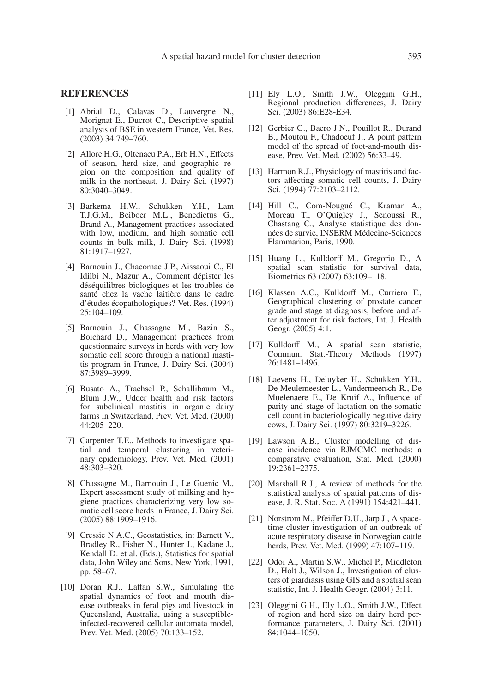#### **REFERENCES**

- [1] Abrial D., Calavas D., Lauvergne N., Morignat E., Ducrot C., Descriptive spatial analysis of BSE in western France, Vet. Res. (2003) 34:749–760.
- [2] Allore H.G., Oltenacu P.A., Erb H.N., Effects of season, herd size, and geographic region on the composition and quality of milk in the northeast, J. Dairy Sci. (1997) 80:3040–3049.
- [3] Barkema H.W., Schukken Y.H., Lam T.J.G.M., Beiboer M.L., Benedictus G., Brand A., Management practices associated with low, medium, and high somatic cell counts in bulk milk, J. Dairy Sci. (1998) 81:1917–1927.
- [4] Barnouin J., Chacornac J.P., Aissaoui C., El Idilbi N., Mazur A., Comment dépister les déséquilibres biologiques et les troubles de santé chez la vache laitière dans le cadre d'études écopathologiques? Vet. Res. (1994) 25:104–109.
- [5] Barnouin J., Chassagne M., Bazin S., Boichard D., Management practices from questionnaire surveys in herds with very low somatic cell score through a national mastitis program in France, J. Dairy Sci. (2004) 87:3989–3999.
- [6] Busato A., Trachsel P., Schallibaum M., Blum J.W., Udder health and risk factors for subclinical mastitis in organic dairy farms in Switzerland, Prev. Vet. Med. (2000) 44:205–220.
- [7] Carpenter T.E., Methods to investigate spatial and temporal clustering in veterinary epidemiology, Prev. Vet. Med. (2001) 48:303–320.
- [8] Chassagne M., Barnouin J., Le Guenic M., Expert assessment study of milking and hygiene practices characterizing very low somatic cell score herds in France, J. Dairy Sci. (2005) 88:1909–1916.
- [9] Cressie N.A.C., Geostatistics, in: Barnett V., Bradley R., Fisher N., Hunter J., Kadane J., Kendall D. et al. (Eds.), Statistics for spatial data, John Wiley and Sons, New York, 1991, pp. 58–67.
- [10] Doran R.J., Laffan S.W., Simulating the spatial dynamics of foot and mouth disease outbreaks in feral pigs and livestock in Queensland, Australia, using a susceptibleinfected-recovered cellular automata model, Prev. Vet. Med. (2005) 70:133–152.
- [11] Ely L.O., Smith J.W., Oleggini G.H., Regional production differences, J. Dairy Sci. (2003) 86:E28-E34.
- [12] Gerbier G., Bacro J.N., Pouillot R., Durand B., Moutou F., Chadoeuf J., A point pattern model of the spread of foot-and-mouth disease, Prev. Vet. Med. (2002) 56:33–49.
- [13] Harmon R.J., Physiology of mastitis and factors affecting somatic cell counts, J. Dairy Sci. (1994) 77:2103–2112.
- [14] Hill C., Com-Nougué C., Kramar A., Moreau T., O'Quigley J., Senoussi R., Chastang C., Analyse statistique des données de survie, INSERM Médecine-Sciences Flammarion, Paris, 1990.
- [15] Huang L., Kulldorff M., Gregorio D., A spatial scan statistic for survival data, Biometrics 63 (2007) 63:109–118.
- [16] Klassen A.C., Kulldorff M., Curriero F., Geographical clustering of prostate cancer grade and stage at diagnosis, before and after adjustment for risk factors, Int. J. Health Geogr. (2005) 4:1.
- [17] Kulldorff M., A spatial scan statistic, Commun. Stat.-Theory Methods (1997) 26:1481–1496.
- [18] Laevens H., Deluyker H., Schukken Y.H., De Meulemeester L., Vandermeersch R., De Muelenaere E., De Kruif A., Influence of parity and stage of lactation on the somatic cell count in bacteriologically negative dairy cows, J. Dairy Sci. (1997) 80:3219–3226.
- [19] Lawson A.B., Cluster modelling of disease incidence via RJMCMC methods: a comparative evaluation, Stat. Med. (2000) 19:2361–2375.
- [20] Marshall R.J., A review of methods for the statistical analysis of spatial patterns of disease, J. R. Stat. Soc. A (1991) 154:421–441.
- [21] Norstrom M., Pfeiffer D.U., Jarp J., A spacetime cluster investigation of an outbreak of acute respiratory disease in Norwegian cattle herds, Prev. Vet. Med. (1999) 47:107–119.
- [22] Odoi A., Martin S.W., Michel P., Middleton D., Holt J., Wilson J., Investigation of clusters of giardiasis using GIS and a spatial scan statistic, Int. J. Health Geogr. (2004) 3:11.
- [23] Oleggini G.H., Ely L.O., Smith J.W., Effect of region and herd size on dairy herd performance parameters, J. Dairy Sci. (2001) 84:1044–1050.